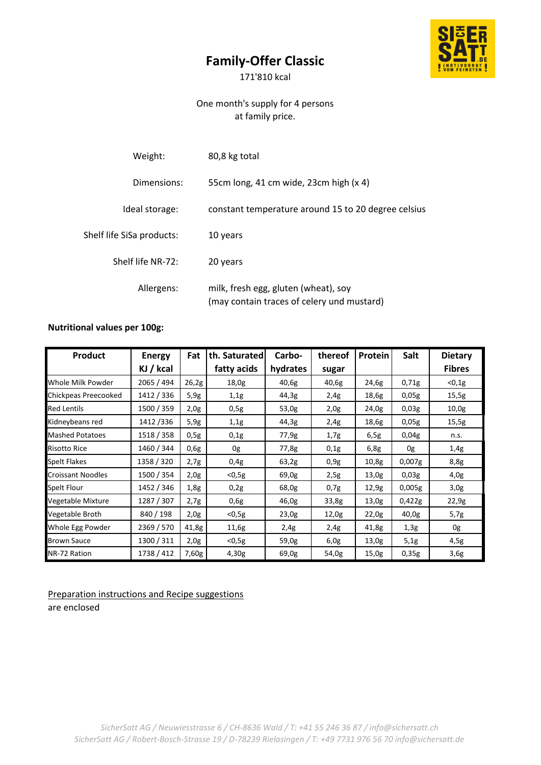## **Family-Offer Classic**



171'810 kcal

## One month's supply for 4 persons at family price.

| Weight:                   | 80,8 kg total                                                                      |
|---------------------------|------------------------------------------------------------------------------------|
| Dimensions:               | 55cm long, 41 cm wide, 23cm high (x 4)                                             |
| Ideal storage:            | constant temperature around 15 to 20 degree celsius                                |
| Shelf life SiSa products: | 10 years                                                                           |
| Shelf life NR-72:         | 20 years                                                                           |
| Allergens:                | milk, fresh egg, gluten (wheat), soy<br>(may contain traces of celery und mustard) |

## **Nutritional values per 100g:**

| Product                  | <b>Energy</b> | <b>Fat</b> | th. Saturated | Carbo-   | thereof | Protein | Salt   | <b>Dietary</b> |
|--------------------------|---------------|------------|---------------|----------|---------|---------|--------|----------------|
|                          | KJ / kcal     |            | fatty acids   | hydrates | sugar   |         |        | <b>Fibres</b>  |
| Whole Milk Powder        | 2065 / 494    | 26,2g      | 18,0g         | 40,6g    | 40,6g   | 24,6g   | 0,71g  | $0,1g$         |
| Chickpeas Preecooked     | 1412 / 336    | 5,9g       | 1,1g          | 44,3g    | 2,4g    | 18,6g   | 0,05g  | 15,5g          |
| <b>Red Lentils</b>       | 1500 / 359    | 2,0g       | 0,5g          | 53,0g    | 2,0g    | 24,0g   | 0,03g  | 10,0g          |
| Kidneybeans red          | 1412/336      | 5,9g       | 1,1g          | 44,3g    | 2,4g    | 18,6g   | 0,05g  | 15,5g          |
| <b>Mashed Potatoes</b>   | 1518 / 358    | 0,5g       | 0,1g          | 77,9g    | 1,7g    | 6,5g    | 0,04g  | n.s.           |
| <b>Risotto Rice</b>      | 1460 / 344    | 0,6g       | 0g            | 77,8g    | 0,1g    | 6,8g    | 0g     | 1,4g           |
| <b>Spelt Flakes</b>      | 1358 / 320    | 2,7g       | 0,4g          | 63,2g    | 0,9g    | 10,8g   | 0,007g | 8,8g           |
| <b>Croissant Noodles</b> | 1500 / 354    | 2,0g       | $<$ 0,5g      | 69,0g    | 2,5g    | 13,0g   | 0,03g  | 4,0g           |
| Spelt Flour              | 1452 / 346    | 1,8g       | 0,2g          | 68,0g    | 0,7g    | 12,9g   | 0,005g | 3,0g           |
| Vegetable Mixture        | 1287 / 307    | 2,7g       | 0,6g          | 46,0g    | 33,8g   | 13,0g   | 0,422g | 22,9g          |
| Vegetable Broth          | 840 / 198     | 2,0g       | $0,5g$        | 23,0g    | 12,0g   | 22,0g   | 40,0g  | 5,7g           |
| Whole Egg Powder         | 2369 / 570    | 41,8g      | 11,6g         | 2,4g     | 2,4g    | 41,8g   | 1,3g   | 0g             |
| <b>Brown Sauce</b>       | 1300 / 311    | 2,0g       | $<$ 0,5g      | 59,0g    | 6,0g    | 13,0g   | 5,1g   | 4,5g           |
| NR-72 Ration             | 1738 / 412    | 7,60g      | 4,30g         | 69,0g    | 54,0g   | 15,0g   | 0,35g  | 3,6g           |

Preparation instructions and Recipe suggestions are enclosed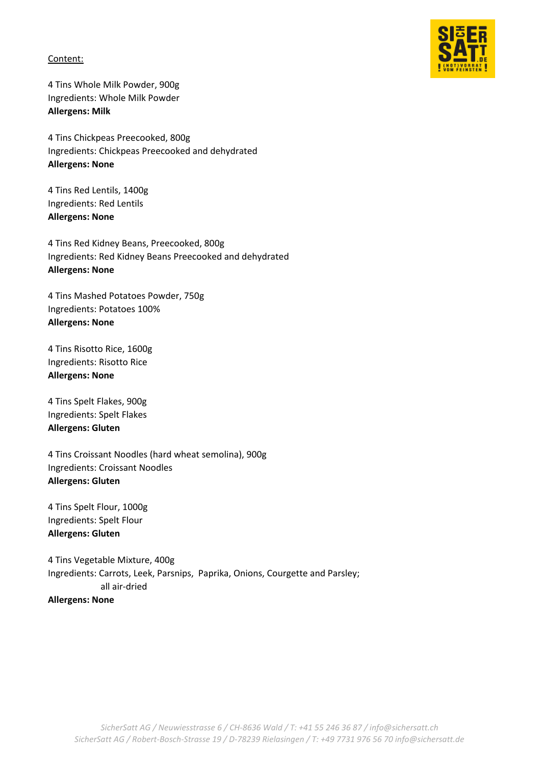Content:

4 Tins Whole Milk Powder, 900g Ingredients: Whole Milk Powder **Allergens: Milk**

4 Tins Chickpeas Preecooked, 800g Ingredients: Chickpeas Preecooked and dehydrated **Allergens: None**

4 Tins Red Lentils, 1400g Ingredients: Red Lentils **Allergens: None**

4 Tins Red Kidney Beans, Preecooked, 800g Ingredients: Red Kidney Beans Preecooked and dehydrated **Allergens: None**

4 Tins Mashed Potatoes Powder, 750g Ingredients: Potatoes 100% **Allergens: None**

4 Tins Risotto Rice, 1600g Ingredients: Risotto Rice **Allergens: None**

4 Tins Spelt Flakes, 900g Ingredients: Spelt Flakes **Allergens: Gluten**

4 Tins Croissant Noodles (hard wheat semolina), 900g Ingredients: Croissant Noodles **Allergens: Gluten**

4 Tins Spelt Flour, 1000g Ingredients: Spelt Flour **Allergens: Gluten**

4 Tins Vegetable Mixture, 400g Ingredients: Carrots, Leek, Parsnips, Paprika, Onions, Courgette and Parsley; all air-dried **Allergens: None**